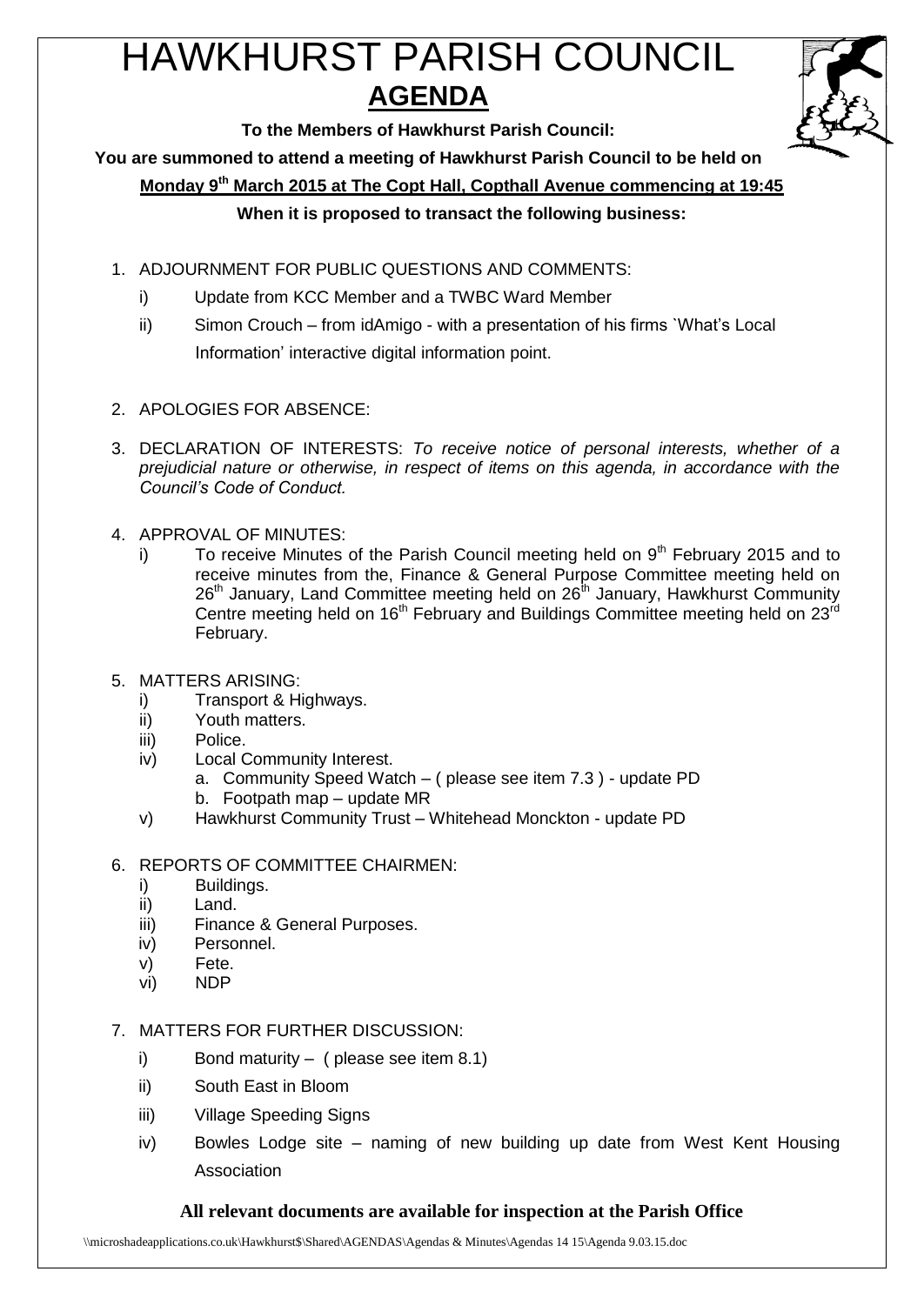# HAWKHURST PARISH COUNCIL **AGENDA**



**To the Members of Hawkhurst Parish Council:**

**You are summoned to attend a meeting of Hawkhurst Parish Council to be held on**

**Monday 9th March 2015 at The Copt Hall, Copthall Avenue commencing at 19:45**

### **When it is proposed to transact the following business:**

- 1. ADJOURNMENT FOR PUBLIC QUESTIONS AND COMMENTS:
	- i) Update from KCC Member and a TWBC Ward Member
	- ii) Simon Crouch from idAmigo with a presentation of his firms `What's Local Information' interactive digital information point.
- 2. APOLOGIES FOR ABSENCE:
- 3. DECLARATION OF INTERESTS: *To receive notice of personal interests, whether of a prejudicial nature or otherwise, in respect of items on this agenda, in accordance with the Council's Code of Conduct.*
- 4. APPROVAL OF MINUTES:
	- i) To receive Minutes of the Parish Council meeting held on  $9<sup>th</sup>$  February 2015 and to receive minutes from the, Finance & General Purpose Committee meeting held on 26<sup>th</sup> January, Land Committee meeting held on 26<sup>th</sup> January, Hawkhurst Community Centre meeting held on  $16<sup>th</sup>$  February and Buildings Committee meeting held on  $23<sup>rd</sup>$ February.
- 5. MATTERS ARISING:
	- i) Transport & Highways.
	- ii) Youth matters.
	- iii) Police.
	- iv) Local Community Interest.
		- a. Community Speed Watch ( please see item 7.3 ) update PD
		- b. Footpath map update MR
	- v) Hawkhurst Community Trust Whitehead Monckton update PD
- 6. REPORTS OF COMMITTEE CHAIRMEN:
	- i) Buildings.
	- ii) Land.
	- iii) Finance & General Purposes.
	- iv) Personnel.
	- v) Fete.
	- vi) NDP
- 7. MATTERS FOR FURTHER DISCUSSION:
	- i) Bond maturity ( please see item  $8.1$ )
	- ii) South East in Bloom
	- iii) Village Speeding Signs
	- iv) Bowles Lodge site naming of new building up date from West Kent Housing Association

# **All relevant documents are available for inspection at the Parish Office**

\\microshadeapplications.co.uk\Hawkhurst\$\Shared\AGENDAS\Agendas & Minutes\Agendas 14 15\Agenda 9.03.15.doc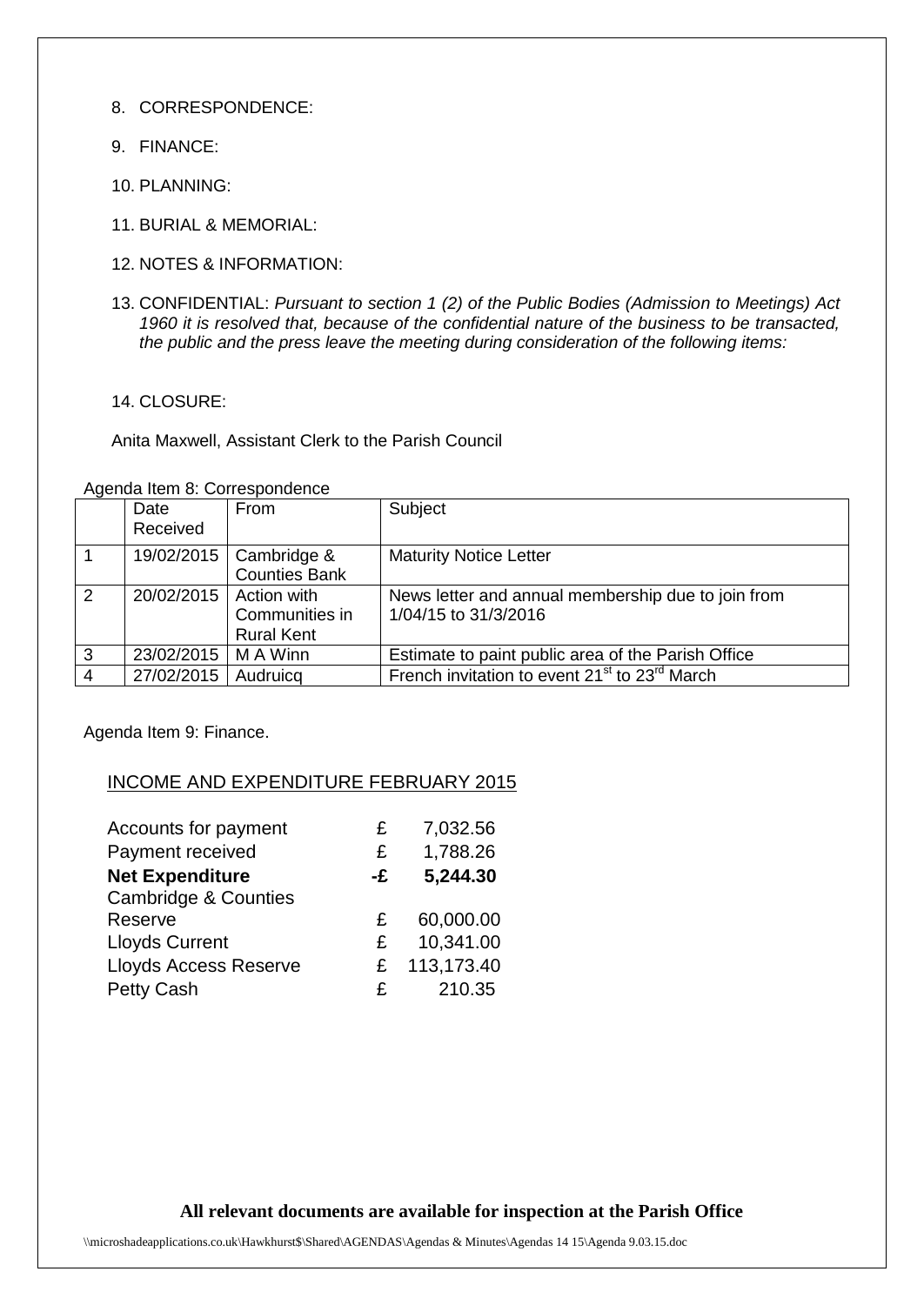- 8. CORRESPONDENCE:
- 9. FINANCE:
- 10. PLANNING:
- 11. BURIAL & MEMORIAL:
- 12. NOTES & INFORMATION:
- 13. CONFIDENTIAL: *Pursuant to section 1 (2) of the Public Bodies (Admission to Meetings) Act 1960 it is resolved that, because of the confidential nature of the business to be transacted, the public and the press leave the meeting during consideration of the following items:*
- 14. CLOSURE:

Anita Maxwell, Assistant Clerk to the Parish Council

Agenda Item 8: Correspondence

|   | Date                     | From                                | Subject                                                                    |
|---|--------------------------|-------------------------------------|----------------------------------------------------------------------------|
|   | Received                 |                                     |                                                                            |
|   | 19/02/2015               | Cambridge &<br><b>Counties Bank</b> | <b>Maturity Notice Letter</b>                                              |
| 2 | 20/02/2015   Action with | Communities in<br><b>Rural Kent</b> | News letter and annual membership due to join from<br>1/04/15 to 31/3/2016 |
| 3 | 23/02/2015               | M A Winn                            | Estimate to paint public area of the Parish Office                         |
|   | 27/02/2015               | Audruicg                            | French invitation to event 21 <sup>st</sup> to 23 <sup>rd</sup> March      |

Agenda Item 9: Finance.

# INCOME AND EXPENDITURE FEBRUARY 2015

| Accounts for payment            | £  | 7,032.56   |
|---------------------------------|----|------------|
| Payment received                | £  | 1,788.26   |
| <b>Net Expenditure</b>          | -£ | 5,244.30   |
| <b>Cambridge &amp; Counties</b> |    |            |
| Reserve                         | £  | 60,000.00  |
| <b>Lloyds Current</b>           | £  | 10,341.00  |
| <b>Lloyds Access Reserve</b>    | £  | 113,173.40 |
| <b>Petty Cash</b>               | £  | 210.35     |

# **All relevant documents are available for inspection at the Parish Office**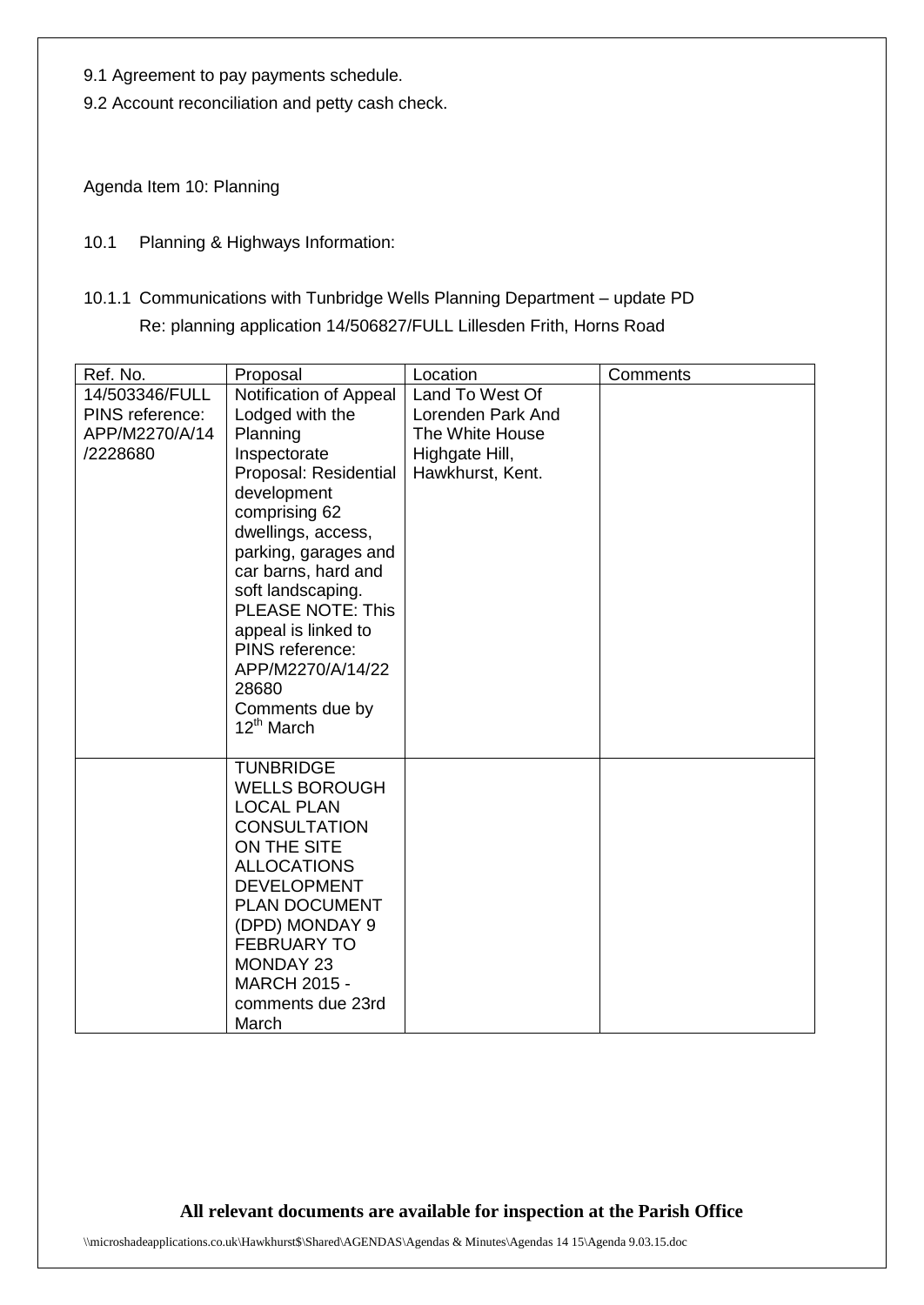- 9.1 Agreement to pay payments schedule.
- 9.2 Account reconciliation and petty cash check.

Agenda Item 10: Planning

- 10.1 Planning & Highways Information:
- 10.1.1 Communications with Tunbridge Wells Planning Department update PD Re: planning application 14/506827/FULL Lillesden Frith, Horns Road

| Ref. No.        | Proposal                                  | Location                           | Comments |
|-----------------|-------------------------------------------|------------------------------------|----------|
| 14/503346/FULL  | Notification of Appeal                    | Land To West Of                    |          |
| PINS reference: | Lodged with the                           | Lorenden Park And                  |          |
| APP/M2270/A/14  | Planning                                  | The White House                    |          |
| /2228680        | Inspectorate<br>Proposal: Residential     | Highgate Hill,<br>Hawkhurst, Kent. |          |
|                 | development                               |                                    |          |
|                 | comprising 62                             |                                    |          |
|                 | dwellings, access,                        |                                    |          |
|                 | parking, garages and                      |                                    |          |
|                 | car barns, hard and<br>soft landscaping.  |                                    |          |
|                 | <b>PLEASE NOTE: This</b>                  |                                    |          |
|                 | appeal is linked to                       |                                    |          |
|                 | PINS reference:                           |                                    |          |
|                 | APP/M2270/A/14/22                         |                                    |          |
|                 | 28680<br>Comments due by                  |                                    |          |
|                 | $12^{th}$ March                           |                                    |          |
|                 |                                           |                                    |          |
|                 | <b>TUNBRIDGE</b>                          |                                    |          |
|                 | <b>WELLS BOROUGH</b><br><b>LOCAL PLAN</b> |                                    |          |
|                 | <b>CONSULTATION</b>                       |                                    |          |
|                 | ON THE SITE                               |                                    |          |
|                 | <b>ALLOCATIONS</b>                        |                                    |          |
|                 | <b>DEVELOPMENT</b>                        |                                    |          |
|                 | <b>PLAN DOCUMENT</b>                      |                                    |          |
|                 | (DPD) MONDAY 9<br><b>FEBRUARY TO</b>      |                                    |          |
|                 | <b>MONDAY 23</b>                          |                                    |          |
|                 | <b>MARCH 2015 -</b>                       |                                    |          |
|                 | comments due 23rd                         |                                    |          |
|                 | March                                     |                                    |          |

**All relevant documents are available for inspection at the Parish Office**

\\microshadeapplications.co.uk\Hawkhurst\$\Shared\AGENDAS\Agendas & Minutes\Agendas 14 15\Agenda 9.03.15.doc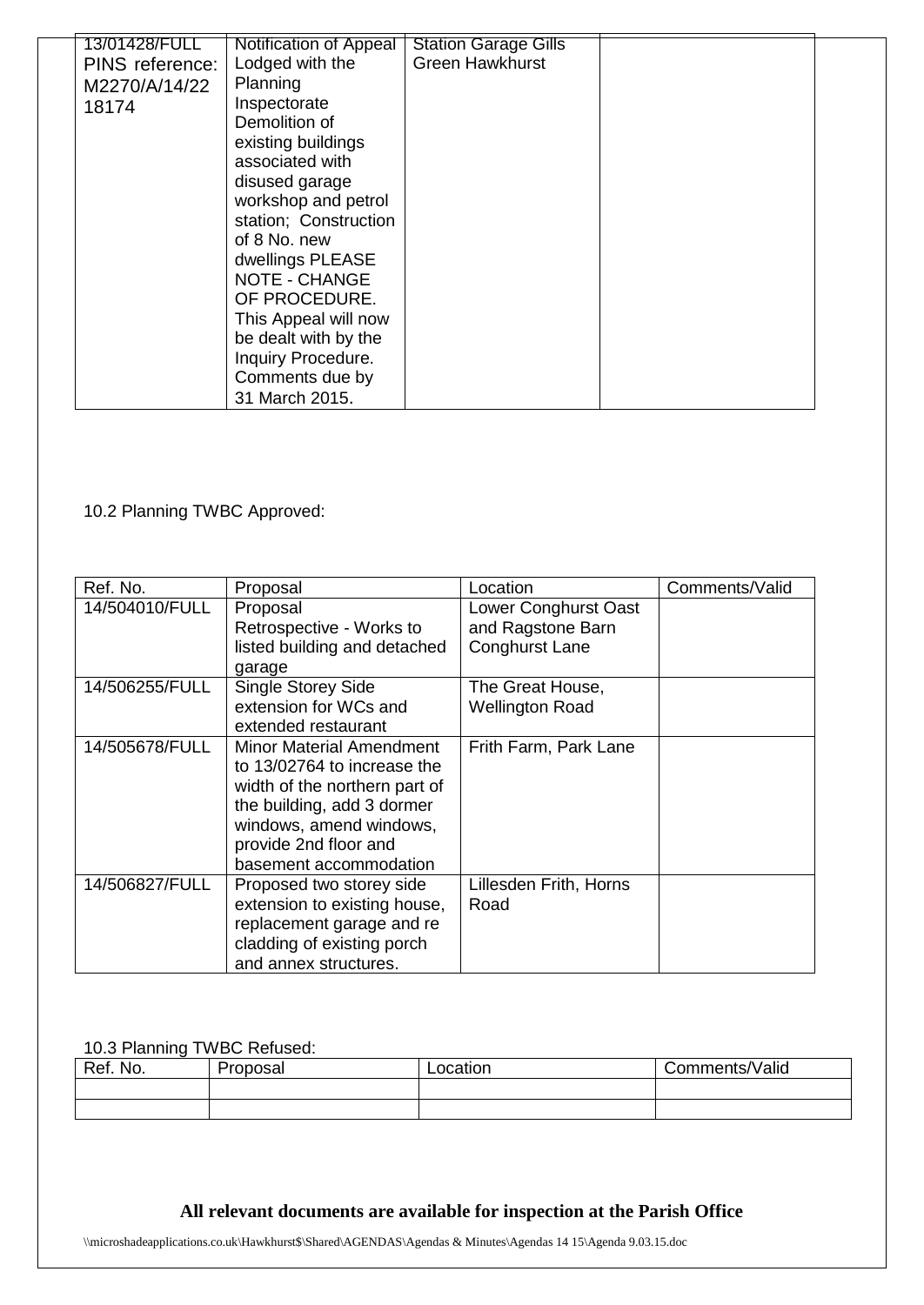| 13/01428/FULL   | Notification of Appeal | <b>Station Garage Gills</b> |  |
|-----------------|------------------------|-----------------------------|--|
| PINS reference: | Lodged with the        | <b>Green Hawkhurst</b>      |  |
| M2270/A/14/22   | Planning               |                             |  |
| 18174           | Inspectorate           |                             |  |
|                 | Demolition of          |                             |  |
|                 | existing buildings     |                             |  |
|                 | associated with        |                             |  |
|                 | disused garage         |                             |  |
|                 | workshop and petrol    |                             |  |
|                 | station; Construction  |                             |  |
|                 | of 8 No. new           |                             |  |
|                 | dwellings PLEASE       |                             |  |
|                 | NOTE - CHANGE          |                             |  |
|                 | OF PROCEDURE.          |                             |  |
|                 | This Appeal will now   |                             |  |
|                 | be dealt with by the   |                             |  |
|                 | Inquiry Procedure.     |                             |  |
|                 | Comments due by        |                             |  |
|                 | 31 March 2015.         |                             |  |

10.2 Planning TWBC Approved:

| Ref. No.       | Proposal                                                                                                                                                                                             | Location                                                           | Comments/Valid |
|----------------|------------------------------------------------------------------------------------------------------------------------------------------------------------------------------------------------------|--------------------------------------------------------------------|----------------|
| 14/504010/FULL | Proposal<br>Retrospective - Works to<br>listed building and detached<br>garage                                                                                                                       | Lower Conghurst Oast<br>and Ragstone Barn<br><b>Conghurst Lane</b> |                |
| 14/506255/FULL | <b>Single Storey Side</b><br>extension for WCs and<br>extended restaurant                                                                                                                            | The Great House,<br><b>Wellington Road</b>                         |                |
| 14/505678/FULL | Minor Material Amendment<br>to 13/02764 to increase the<br>width of the northern part of<br>the building, add 3 dormer<br>windows, amend windows,<br>provide 2nd floor and<br>basement accommodation | Frith Farm, Park Lane                                              |                |
| 14/506827/FULL | Proposed two storey side<br>extension to existing house,<br>replacement garage and re<br>cladding of existing porch<br>and annex structures.                                                         | Lillesden Frith, Horns<br>Road                                     |                |

#### 10.3 Planning TWBC Refused:

| Ref. No. | <b>Proposal</b> | Location | Comments/Valid |
|----------|-----------------|----------|----------------|
|          |                 |          |                |
|          |                 |          |                |

# **All relevant documents are available for inspection at the Parish Office**

\\microshadeapplications.co.uk\Hawkhurst\$\Shared\AGENDAS\Agendas & Minutes\Agendas 14 15\Agenda 9.03.15.doc